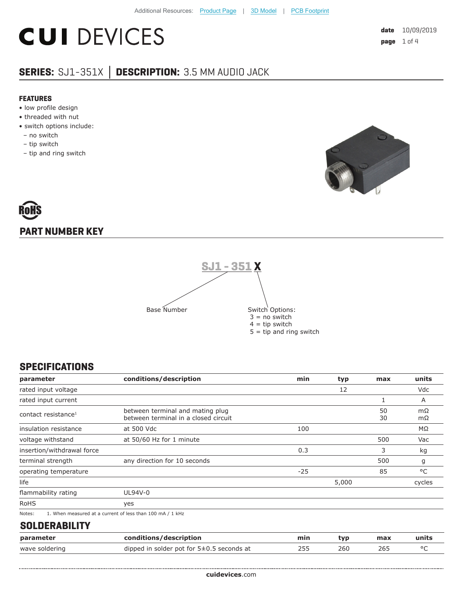# **CUI DEVICES**

### **SERIES:** SJ1-351X **│ DESCRIPTION:** 3.5 MM AUDIO JACK

#### **FEATURES**

- low profile design
- threaded with nut
- switch options include:
- no switch
- tip switch
- tip and ring switch



# **PART NUMBER KEY**



#### **SPECIFICATIONS**

| parameter                       | conditions/description                                                   | min   | typ   | max      | units    |
|---------------------------------|--------------------------------------------------------------------------|-------|-------|----------|----------|
| rated input voltage             |                                                                          |       | 12    |          | Vdc      |
| rated input current             |                                                                          |       |       |          | A        |
| contact resistance <sup>1</sup> | between terminal and mating plug<br>between terminal in a closed circuit |       |       | 50<br>30 | mΩ<br>mΩ |
| insulation resistance           | at 500 Vdc                                                               | 100   |       |          | ΜΩ       |
| voltage withstand               | at 50/60 Hz for 1 minute                                                 |       |       | 500      | Vac      |
| insertion/withdrawal force      |                                                                          | 0.3   |       | 3        | kg       |
| terminal strength               | any direction for 10 seconds                                             |       |       | 500      | g        |
| operating temperature           |                                                                          | $-25$ |       | 85       | °C       |
| life                            |                                                                          |       | 5,000 |          | cycles   |
| flammability rating             | UL94V-0                                                                  |       |       |          |          |
| <b>RoHS</b>                     | yes                                                                      |       |       |          |          |
| Notes:                          | 1. When measured at a current of less than 100 mA / 1 kHz                |       |       |          |          |
| <b>SOLDERABILITY</b>            |                                                                          |       |       |          |          |
|                                 |                                                                          |       |       |          |          |

| parameter      | conditions/description                        | min | tvp | max | units |
|----------------|-----------------------------------------------|-----|-----|-----|-------|
| wave soldering | dipped in solder pot for $5\pm0.5$ seconds at |     | 260 | 265 |       |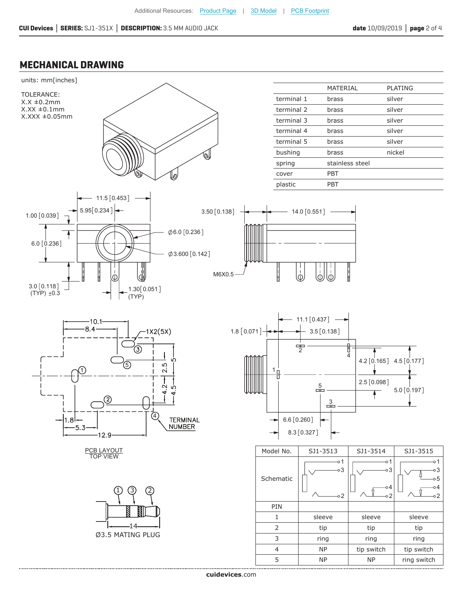#### **MECHANICAL DRAWING**

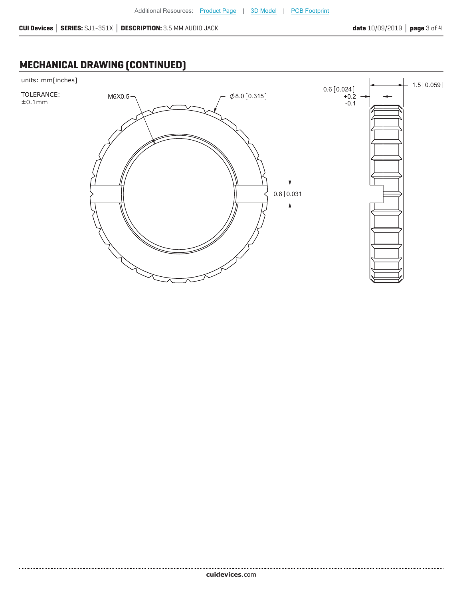### **MECHANICAL DRAWING (CONTINUED)**

#### units: mm[inches]

TOLERANCE:  $±0.1mm$ 

.........................